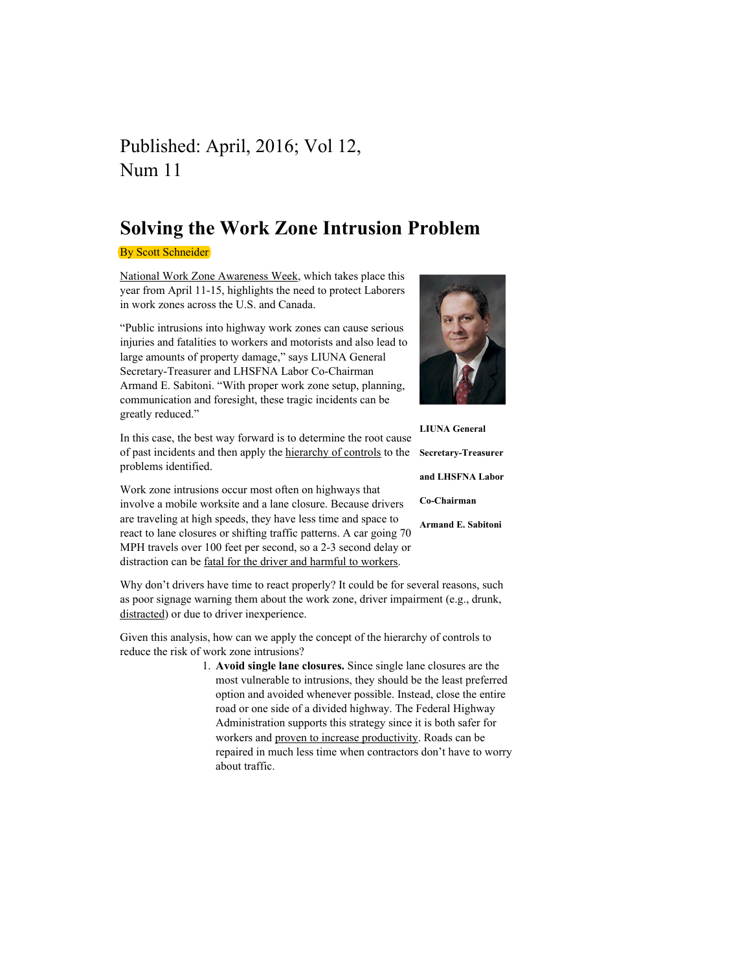## Published: April, 2016; Vol 12, Num 11

## Solving the Work Zone Intrusion Problem

**By Scott Schneider** 

National Work Zone Awareness Week, which takes place this year from April 11-15, highlights the need to protect Laborers in work zones across the U.S. and Canada.

"Public intrusions into highway work zones can cause serious injuries and fatalities to workers and motorists and also lead to large amounts of property damage," says LIUNA General Secretary-Treasurer and LHSFNA Labor Co-Chairman Armand E. Sabitoni. "With proper work zone setup, planning, communication and foresight, these tragic incidents can be greatly reduced."

of past incidents and then apply the hierarchy of controls to the Secretary-Treasurer In this case, the best way forward is to determine the root cause problems identified.

Work zone intrusions occur most often on highways that involve a mobile worksite and a lane closure. Because drivers are traveling at high speeds, they have less time and space to react to lane closures or shifting traffic patterns. A car going 70 MPH travels over 100 feet per second, so a 2-3 second delay or distraction can be fatal for the driver and harmful to workers.

Why don't drivers have time to react properly? It could be for several reasons, such as poor signage warning them about the work zone, driver impairment (e.g., drunk, distracted) or due to driver inexperience.

Given this analysis, how can we apply the concept of the hierarchy of controls to reduce the risk of work zone intrusions?

> 1. Avoid single lane closures. Since single lane closures are the most vulnerable to intrusions, they should be the least preferred option and avoided whenever possible. Instead, close the entire road or one side of a divided highway. The Federal Highway Administration supports this strategy since it is both safer for workers and proven to increase productivity. Roads can be repaired in much less time when contractors don't have to worry about traffic.



LIUNA General and LHSFNA Labor

Co-Chairman

Armand E. Sabitoni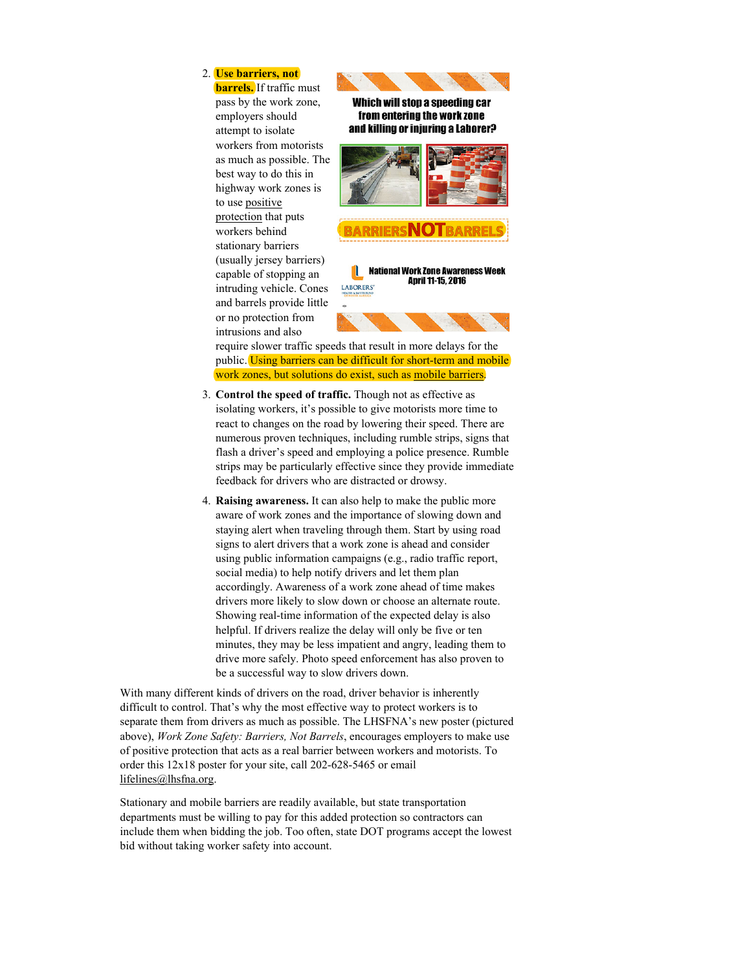## 2. Use barriers, not

**barrels.** If traffic must pass by the work zone, employers should attempt to isolate workers from motorists as much as possible. The best way to do this in highway work zones is to use positive protection that puts workers behind stationary barriers (usually jersey barriers) capable of stopping an intruding vehicle. Cones and barrels provide little or no protection from intrusions and also



**National Work Zone Awareness Week** I **April 11-15, 2016** LABORERS'

require slower traffic speeds that result in more delays for the

public. Using barriers can be difficult for short-term and mobile work zones, but solutions do exist, such as mobile barriers.

- 3. Control the speed of traffic. Though not as effective as isolating workers, it's possible to give motorists more time to react to changes on the road by lowering their speed. There are numerous proven techniques, including rumble strips, signs that flash a driver's speed and employing a police presence. Rumble strips may be particularly effective since they provide immediate feedback for drivers who are distracted or drowsy.
- 4. Raising awareness. It can also help to make the public more aware of work zones and the importance of slowing down and staying alert when traveling through them. Start by using road signs to alert drivers that a work zone is ahead and consider using public information campaigns (e.g., radio traffic report, social media) to help notify drivers and let them plan accordingly. Awareness of a work zone ahead of time makes drivers more likely to slow down or choose an alternate route. Showing real-time information of the expected delay is also helpful. If drivers realize the delay will only be five or ten minutes, they may be less impatient and angry, leading them to drive more safely. Photo speed enforcement has also proven to be a successful way to slow drivers down.

With many different kinds of drivers on the road, driver behavior is inherently difficult to control. That's why the most effective way to protect workers is to separate them from drivers as much as possible. The LHSFNA's new poster (pictured above), Work Zone Safety: Barriers, Not Barrels, encourages employers to make use of positive protection that acts as a real barrier between workers and motorists. To order this 12x18 poster for your site, call 202-628-5465 or email lifelines@lhsfna.org.

Stationary and mobile barriers are readily available, but state transportation departments must be willing to pay for this added protection so contractors can include them when bidding the job. Too often, state DOT programs accept the lowest bid without taking worker safety into account.